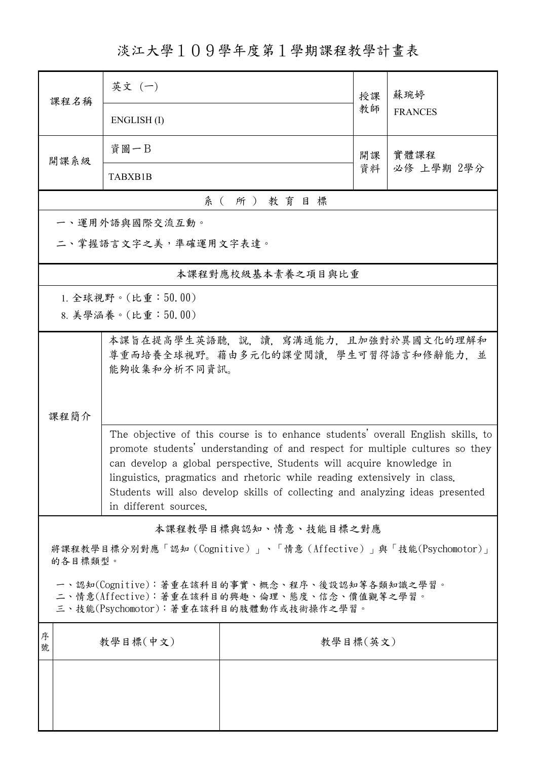淡江大學109學年度第1學期課程教學計畫表

| 課程名稱                                                                                                                                                                                                                                                                                                                                                                                                                          | 英文 (一)                                                                                       |                       | 授課       | 蘇琬婷<br><b>FRANCES</b> |  |  |  |  |  |  |
|-------------------------------------------------------------------------------------------------------------------------------------------------------------------------------------------------------------------------------------------------------------------------------------------------------------------------------------------------------------------------------------------------------------------------------|----------------------------------------------------------------------------------------------|-----------------------|----------|-----------------------|--|--|--|--|--|--|
|                                                                                                                                                                                                                                                                                                                                                                                                                               | ENGLISH(I)                                                                                   |                       | 教師       |                       |  |  |  |  |  |  |
| 開課系級                                                                                                                                                                                                                                                                                                                                                                                                                          | 資圖一B                                                                                         |                       | 開課       | 實體課程<br>必修 上學期 2學分    |  |  |  |  |  |  |
|                                                                                                                                                                                                                                                                                                                                                                                                                               | TABXB1B                                                                                      |                       | 資料       |                       |  |  |  |  |  |  |
|                                                                                                                                                                                                                                                                                                                                                                                                                               | 系(所)教育目標                                                                                     |                       |          |                       |  |  |  |  |  |  |
|                                                                                                                                                                                                                                                                                                                                                                                                                               | 一、運用外語與國際交流互動。                                                                               |                       |          |                       |  |  |  |  |  |  |
|                                                                                                                                                                                                                                                                                                                                                                                                                               | 二、掌握語言文字之美,準確運用文字表達。                                                                         |                       |          |                       |  |  |  |  |  |  |
|                                                                                                                                                                                                                                                                                                                                                                                                                               |                                                                                              | 本課程對應校級基本素養之項目與比重     |          |                       |  |  |  |  |  |  |
|                                                                                                                                                                                                                                                                                                                                                                                                                               | 1. 全球視野。(比重:50.00)                                                                           |                       |          |                       |  |  |  |  |  |  |
|                                                                                                                                                                                                                                                                                                                                                                                                                               | 8. 美學涵養。(比重:50.00)                                                                           |                       |          |                       |  |  |  |  |  |  |
| 課程簡介                                                                                                                                                                                                                                                                                                                                                                                                                          | 本課旨在提高學生英語聽,說,讀,寫溝通能力,且加強對於異國文化的理解和<br>尊重而培養全球視野。藉由多元化的課堂閱讀, 學生可習得語言和修辭能力, 並<br>能夠收集和分析不同資訊。 |                       |          |                       |  |  |  |  |  |  |
| The objective of this course is to enhance students' overall English skills, to<br>promote students' understanding of and respect for multiple cultures so they<br>can develop a global perspective. Students will acquire knowledge in<br>linguistics, pragmatics and rhetoric while reading extensively in class.<br>Students will also develop skills of collecting and analyzing ideas presented<br>in different sources. |                                                                                              |                       |          |                       |  |  |  |  |  |  |
|                                                                                                                                                                                                                                                                                                                                                                                                                               |                                                                                              | 本課程教學目標與認知、情意、技能目標之對應 |          |                       |  |  |  |  |  |  |
| 將課程教學目標分別對應「認知(Cognitive)」、「情意(Affective)」與「技能(Psychomotor)」<br>的各目標類型。                                                                                                                                                                                                                                                                                                                                                       |                                                                                              |                       |          |                       |  |  |  |  |  |  |
| 一、認知(Cognitive):著重在該科目的事實、概念、程序、後設認知等各類知識之學習。<br>二、情意(Affective):著重在該科目的興趣、倫理、態度、信念、價值觀等之學習。<br>三、技能(Psychomotor):著重在該科目的肢體動作或技術操作之學習。                                                                                                                                                                                                                                                                                        |                                                                                              |                       |          |                       |  |  |  |  |  |  |
| 序<br>號                                                                                                                                                                                                                                                                                                                                                                                                                        | 教學目標(中文)                                                                                     |                       | 教學目標(英文) |                       |  |  |  |  |  |  |
|                                                                                                                                                                                                                                                                                                                                                                                                                               |                                                                                              |                       |          |                       |  |  |  |  |  |  |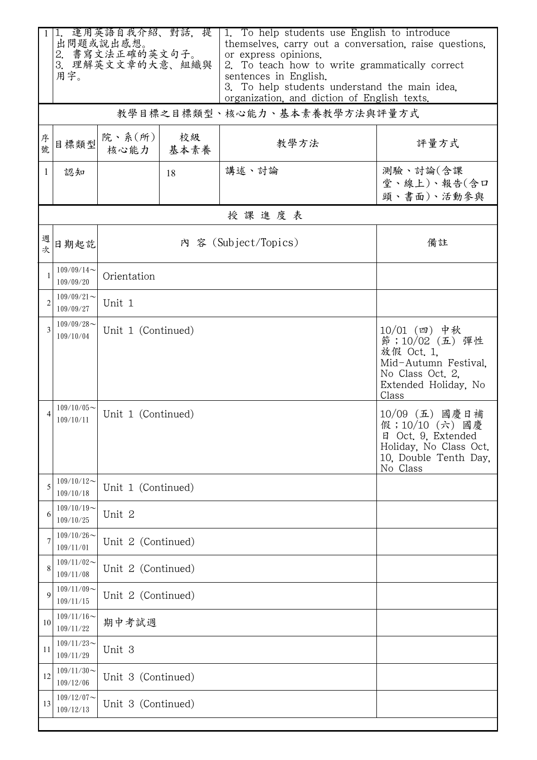|                | 1. 運用英語自我介紹、對話, 提<br>出問題或說出感想。<br>2. 書寫文法正確的英文句子。<br>3. 理解英文文章的大意、組織與<br>用字。 |                                                                                                                                                   |    | 1. To help students use English to introduce<br>themselves, carry out a conversation, raise questions,<br>or express opinions.<br>2. To teach how to write grammatically correct |                                       |  |
|----------------|------------------------------------------------------------------------------|---------------------------------------------------------------------------------------------------------------------------------------------------|----|----------------------------------------------------------------------------------------------------------------------------------------------------------------------------------|---------------------------------------|--|
|                |                                                                              |                                                                                                                                                   |    | sentences in English.<br>3. To help students understand the main idea.<br>organization, and diction of English texts.                                                            |                                       |  |
|                |                                                                              |                                                                                                                                                   |    | 教學目標之目標類型、核心能力、基本素養教學方法與評量方式                                                                                                                                                     |                                       |  |
| 序號             | 目標類型                                                                         | 院、系 $(\kappa)$<br>核心能力 基本素養                                                                                                                       | 校級 | 教學方法                                                                                                                                                                             | 評量方式                                  |  |
| $\mathbf{1}$   | 認知                                                                           |                                                                                                                                                   | 18 | 講述、討論                                                                                                                                                                            | 測驗、討論(含課<br>堂、線上)、報告(含口<br>頭、書面)、活動參與 |  |
|                |                                                                              |                                                                                                                                                   |    | 授課進度表                                                                                                                                                                            |                                       |  |
| 週次             | 日期起訖                                                                         | 內 容 (Subject/Topics)                                                                                                                              |    |                                                                                                                                                                                  | 備註                                    |  |
|                | $109/09/14$ ~<br>109/09/20                                                   | Orientation                                                                                                                                       |    |                                                                                                                                                                                  |                                       |  |
| $\overline{c}$ | $109/09/21$ ~<br>109/09/27                                                   | Unit 1                                                                                                                                            |    |                                                                                                                                                                                  |                                       |  |
|                | $109/09/28$ ~<br>109/10/04                                                   | $10/01$ (四) 中秋<br>Unit 1 (Continued)<br>節;10/02 (五) 彈性<br>放假 Oct. 1,<br>Mid-Autumn Festival.<br>No Class Oct. 2,<br>Extended Holiday, No<br>Class |    |                                                                                                                                                                                  |                                       |  |
|                | $109/10/05$ ~<br>109/10/11                                                   | 10/09 (五) 國慶日補<br>Unit 1 (Continued)<br>假;10/10 (六) 國慶<br>日 Oct. 9, Extended<br>Holiday, No Class Oct.<br>10, Double Tenth Day,<br>No Class       |    |                                                                                                                                                                                  |                                       |  |
| 5              | $109/10/12$ ~<br>109/10/18                                                   | Unit 1 (Continued)                                                                                                                                |    |                                                                                                                                                                                  |                                       |  |
| 6              | $109/10/19$ ~<br>109/10/25                                                   | Unit 2                                                                                                                                            |    |                                                                                                                                                                                  |                                       |  |
|                | $109/10/26$ ~<br>109/11/01                                                   | Unit 2 (Continued)                                                                                                                                |    |                                                                                                                                                                                  |                                       |  |
| 8              | $109/11/02$ ~<br>109/11/08                                                   | Unit 2 (Continued)                                                                                                                                |    |                                                                                                                                                                                  |                                       |  |
| 9              | $109/11/09$ ~<br>109/11/15                                                   | Unit 2 (Continued)                                                                                                                                |    |                                                                                                                                                                                  |                                       |  |
| 10             | $109/11/16$ ~<br>109/11/22                                                   | 期中考試週                                                                                                                                             |    |                                                                                                                                                                                  |                                       |  |
| 11             | $109/11/23$ ~<br>109/11/29                                                   | Unit 3                                                                                                                                            |    |                                                                                                                                                                                  |                                       |  |
| 12             | $109/11/30$ ~<br>109/12/06                                                   | Unit 3 (Continued)                                                                                                                                |    |                                                                                                                                                                                  |                                       |  |
| 13             | $109/12/07$ ~<br>109/12/13                                                   | Unit 3 (Continued)                                                                                                                                |    |                                                                                                                                                                                  |                                       |  |